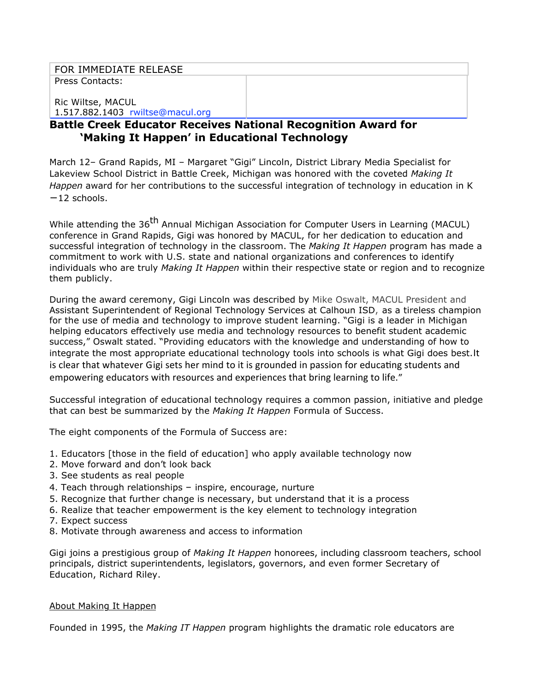## FOR IMMEDIATE RELEASE

Press Contacts:

Ric Wiltse, MACUL 1.517.882.1403 rwiltse@macul.org

# **Battle Creek Educator Receives National Recognition Award for 'Making It Happen' in Educational Technology**

March 12– Grand Rapids, MI – Margaret "Gigi" Lincoln, District Library Media Specialist for Lakeview School District in Battle Creek, Michigan was honored with the coveted *Making It Happen* award for her contributions to the successful integration of technology in education in K −12 schools.

While attending the 36<sup>th</sup> Annual Michigan Association for Computer Users in Learning (MACUL) conference in Grand Rapids, Gigi was honored by MACUL, for her dedication to education and successful integration of technology in the classroom. The *Making It Happen* program has made a commitment to work with U.S. state and national organizations and conferences to identify individuals who are truly *Making It Happen* within their respective state or region and to recognize them publicly.

During the award ceremony, Gigi Lincoln was described by Mike Oswalt, MACUL President and Assistant Superintendent of Regional Technology Services at Calhoun ISD, as a tireless champion for the use of media and technology to improve student learning. "Gigi is a leader in Michigan helping educators effectively use media and technology resources to benefit student academic success," Oswalt stated. "Providing educators with the knowledge and understanding of how to integrate the most appropriate educational technology tools into schools is what Gigi does best.It is clear that whatever Gigi sets her mind to it is grounded in passion for educating students and empowering educators with resources and experiences that bring learning to life."

Successful integration of educational technology requires a common passion, initiative and pledge that can best be summarized by the *Making It Happen* Formula of Success.

The eight components of the Formula of Success are:

- 1. Educators [those in the field of education] who apply available technology now
- 2. Move forward and don't look back
- 3. See students as real people
- 4. Teach through relationships inspire, encourage, nurture
- 5. Recognize that further change is necessary, but understand that it is a process
- 6. Realize that teacher empowerment is the key element to technology integration
- 7. Expect success
- 8. Motivate through awareness and access to information

Gigi joins a prestigious group of *Making It Happen* honorees, including classroom teachers, school principals, district superintendents, legislators, governors, and even former Secretary of Education, Richard Riley.

#### About Making It Happen

Founded in 1995, the *Making IT Happen* program highlights the dramatic role educators are